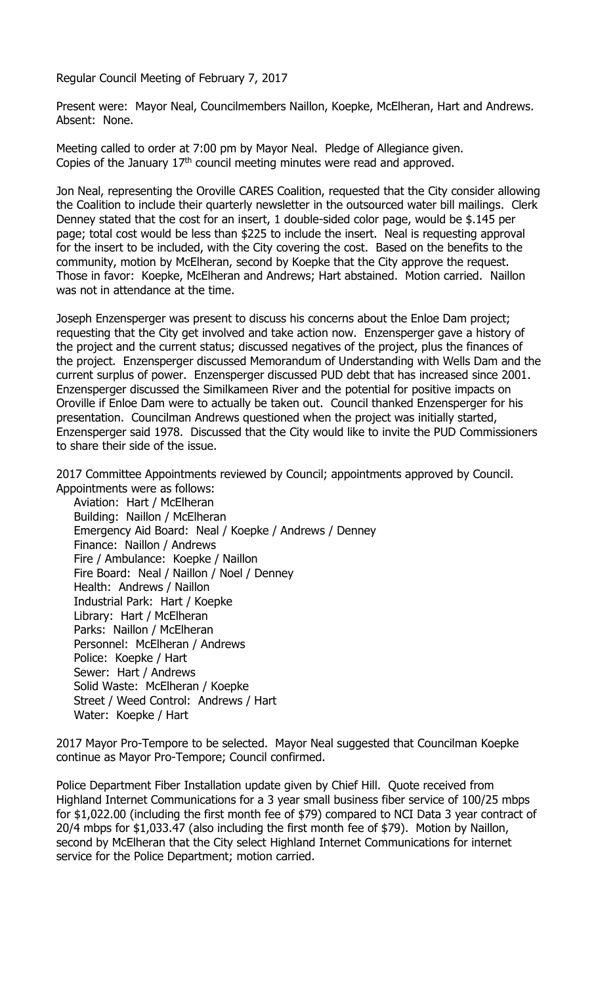Regular Council Meeting of February 7, 2017

Present were: Mayor Neal, Councilmembers Naillon, Koepke, McElheran, Hart and Andrews. Absent: None.

Meeting called to order at 7:00 pm by Mayor Neal. Pledge of Allegiance given. Copies of the January  $17<sup>th</sup>$  council meeting minutes were read and approved.

Jon Neal, representing the Oroville CARES Coalition, requested that the City consider allowing the Coalition to include their quarterly newsletter in the outsourced water bill mailings. Clerk Denney stated that the cost for an insert, 1 double-sided color page, would be \$.145 per page; total cost would be less than \$225 to include the insert. Neal is requesting approval for the insert to be included, with the City covering the cost. Based on the benefits to the community, motion by McElheran, second by Koepke that the City approve the request. Those in favor: Koepke, McElheran and Andrews; Hart abstained. Motion carried. Naillon was not in attendance at the time.

Joseph Enzensperger was present to discuss his concerns about the Enloe Dam project; requesting that the City get involved and take action now. Enzensperger gave a history of the project and the current status; discussed negatives of the project, plus the finances of the project. Enzensperger discussed Memorandum of Understanding with Wells Dam and the current surplus of power. Enzensperger discussed PUD debt that has increased since 2001. Enzensperger discussed the Similkameen River and the potential for positive impacts on Oroville if Enloe Dam were to actually be taken out. Council thanked Enzensperger for his presentation. Councilman Andrews questioned when the project was initially started, Enzensperger said 1978. Discussed that the City would like to invite the PUD Commissioners to share their side of the issue.

2017 Committee Appointments reviewed by Council; appointments approved by Council. Appointments were as follows:

Aviation: Hart / McElheran Building: Naillon / McElheran Emergency Aid Board: Neal / Koepke / Andrews / Denney Finance: Naillon / Andrews Fire / Ambulance: Koepke / Naillon Fire Board: Neal / Naillon / Noel / Denney Health: Andrews / Naillon Industrial Park: Hart / Koepke Library: Hart / McElheran Parks: Naillon / McElheran Personnel: McElheran / Andrews Police: Koepke / Hart Sewer: Hart / Andrews Solid Waste: McElheran / Koepke Street / Weed Control: Andrews / Hart Water: Koepke / Hart

2017 Mayor Pro-Tempore to be selected. Mayor Neal suggested that Councilman Koepke continue as Mayor Pro-Tempore; Council confirmed.

Police Department Fiber Installation update given by Chief Hill. Quote received from Highland Internet Communications for a 3 year small business fiber service of 100/25 mbps for \$1,022.00 (including the first month fee of \$79) compared to NCI Data 3 year contract of 20/4 mbps for \$1,033.47 (also including the first month fee of \$79). Motion by Naillon, second by McElheran that the City select Highland Internet Communications for internet service for the Police Department; motion carried.